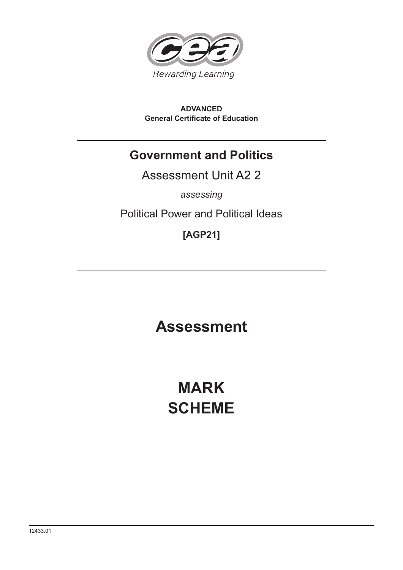

**ADVANCED General Certificate of Education**

# **Government and Politics**

Assessment Unit A2 2

*assessing*

Political Power and Political Ideas

**[AGP21]**

**Assessment**

**MARK SCHEME**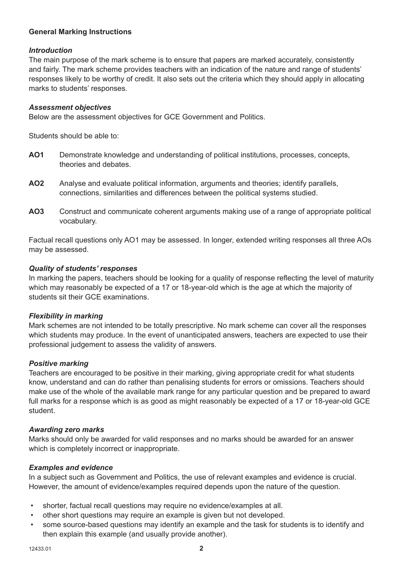## **General Marking Instructions**

#### *Introduction*

The main purpose of the mark scheme is to ensure that papers are marked accurately, consistently and fairly. The mark scheme provides teachers with an indication of the nature and range of students' responses likely to be worthy of credit. It also sets out the criteria which they should apply in allocating marks to students' responses.

#### *Assessment objectives*

Below are the assessment objectives for GCE Government and Politics.

Students should be able to:

- **AO1** Demonstrate knowledge and understanding of political institutions, processes, concepts, theories and debates.
- **AO2** Analyse and evaluate political information, arguments and theories; identify parallels, connections, similarities and differences between the political systems studied.
- **AO3** Construct and communicate coherent arguments making use of a range of appropriate political vocabulary.

Factual recall questions only AO1 may be assessed. In longer, extended writing responses all three AOs may be assessed.

#### *Quality of students' responses*

In marking the papers, teachers should be looking for a quality of response reflecting the level of maturity which may reasonably be expected of a 17 or 18-year-old which is the age at which the majority of students sit their GCE examinations.

#### *Flexibility in marking*

Mark schemes are not intended to be totally prescriptive. No mark scheme can cover all the responses which students may produce. In the event of unanticipated answers, teachers are expected to use their professional judgement to assess the validity of answers.

#### *Positive marking*

Teachers are encouraged to be positive in their marking, giving appropriate credit for what students know, understand and can do rather than penalising students for errors or omissions. Teachers should make use of the whole of the available mark range for any particular question and be prepared to award full marks for a response which is as good as might reasonably be expected of a 17 or 18-year-old GCE student.

#### *Awarding zero marks*

Marks should only be awarded for valid responses and no marks should be awarded for an answer which is completely incorrect or inappropriate.

#### *Examples and evidence*

In a subject such as Government and Politics, the use of relevant examples and evidence is crucial. However, the amount of evidence/examples required depends upon the nature of the question.

- shorter, factual recall questions may require no evidence/examples at all.
- other short questions may require an example is given but not developed.
- some source-based questions may identify an example and the task for students is to identify and then explain this example (and usually provide another).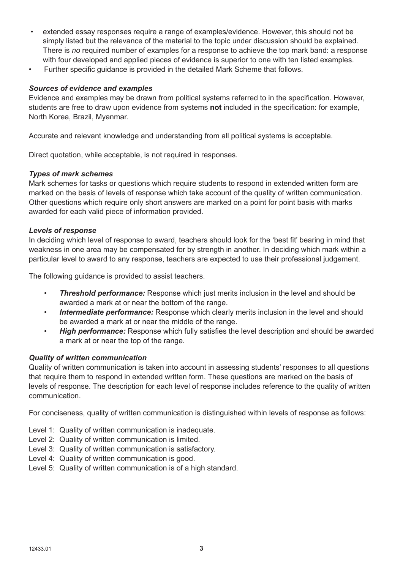- extended essay responses require a range of examples/evidence. However, this should not be simply listed but the relevance of the material to the topic under discussion should be explained. There is *no* required number of examples for a response to achieve the top mark band: a response with four developed and applied pieces of evidence is superior to one with ten listed examples.
- Further specific guidance is provided in the detailed Mark Scheme that follows.

#### *Sources of evidence and examples*

Evidence and examples may be drawn from political systems referred to in the specification. However, students are free to draw upon evidence from systems **not** included in the specification: for example, North Korea, Brazil, Myanmar.

Accurate and relevant knowledge and understanding from all political systems is acceptable.

Direct quotation, while acceptable, is not required in responses.

#### *Types of mark schemes*

Mark schemes for tasks or questions which require students to respond in extended written form are marked on the basis of levels of response which take account of the quality of written communication. Other questions which require only short answers are marked on a point for point basis with marks awarded for each valid piece of information provided.

#### *Levels of response*

In deciding which level of response to award, teachers should look for the 'best fit' bearing in mind that weakness in one area may be compensated for by strength in another. In deciding which mark within a particular level to award to any response, teachers are expected to use their professional judgement.

The following guidance is provided to assist teachers.

- *Threshold performance:* Response which just merits inclusion in the level and should be awarded a mark at or near the bottom of the range.
- *Intermediate performance:* Response which clearly merits inclusion in the level and should be awarded a mark at or near the middle of the range.
- *High performance:* Response which fully satisfies the level description and should be awarded a mark at or near the top of the range.

#### *Quality of written communication*

Quality of written communication is taken into account in assessing students' responses to all questions that require them to respond in extended written form. These questions are marked on the basis of levels of response. The description for each level of response includes reference to the quality of written communication.

For conciseness, quality of written communication is distinguished within levels of response as follows:

- Level 1: Quality of written communication is inadequate.
- Level 2: Quality of written communication is limited.
- Level 3: Quality of written communication is satisfactory.
- Level 4: Quality of written communication is good.
- Level 5: Quality of written communication is of a high standard.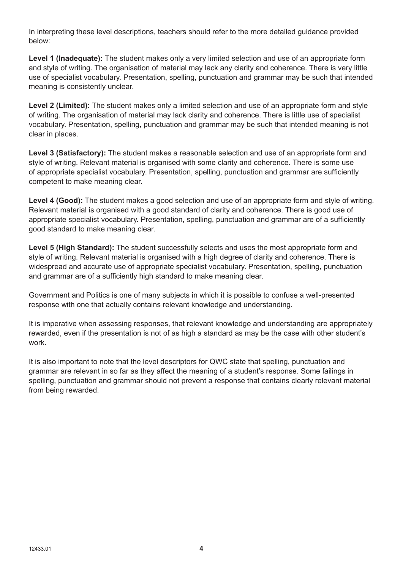In interpreting these level descriptions, teachers should refer to the more detailed guidance provided below:

**Level 1 (Inadequate):** The student makes only a very limited selection and use of an appropriate form and style of writing. The organisation of material may lack any clarity and coherence. There is very little use of specialist vocabulary. Presentation, spelling, punctuation and grammar may be such that intended meaning is consistently unclear.

**Level 2 (Limited):** The student makes only a limited selection and use of an appropriate form and style of writing. The organisation of material may lack clarity and coherence. There is little use of specialist vocabulary. Presentation, spelling, punctuation and grammar may be such that intended meaning is not clear in places.

**Level 3 (Satisfactory):** The student makes a reasonable selection and use of an appropriate form and style of writing. Relevant material is organised with some clarity and coherence. There is some use of appropriate specialist vocabulary. Presentation, spelling, punctuation and grammar are sufficiently competent to make meaning clear.

Level 4 (Good): The student makes a good selection and use of an appropriate form and style of writing. Relevant material is organised with a good standard of clarity and coherence. There is good use of appropriate specialist vocabulary. Presentation, spelling, punctuation and grammar are of a sufficiently good standard to make meaning clear.

**Level 5 (High Standard):** The student successfully selects and uses the most appropriate form and style of writing. Relevant material is organised with a high degree of clarity and coherence. There is widespread and accurate use of appropriate specialist vocabulary. Presentation, spelling, punctuation and grammar are of a sufficiently high standard to make meaning clear.

Government and Politics is one of many subjects in which it is possible to confuse a well-presented response with one that actually contains relevant knowledge and understanding.

It is imperative when assessing responses, that relevant knowledge and understanding are appropriately rewarded, even if the presentation is not of as high a standard as may be the case with other student's work.

It is also important to note that the level descriptors for QWC state that spelling, punctuation and grammar are relevant in so far as they affect the meaning of a student's response. Some failings in spelling, punctuation and grammar should not prevent a response that contains clearly relevant material from being rewarded.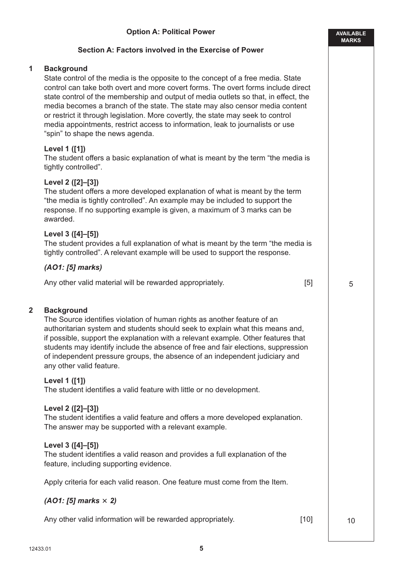## **Section A: Factors involved in the Exercise of Power**

#### **1 Background**

State control of the media is the opposite to the concept of a free media. State control can take both overt and more covert forms. The overt forms include direct state control of the membership and output of media outlets so that, in effect, the media becomes a branch of the state. The state may also censor media content or restrict it through legislation. More covertly, the state may seek to control media appointments, restrict access to information, leak to journalists or use "spin" to shape the news agenda.

#### **Level 1 ([1])**

The student offers a basic explanation of what is meant by the term "the media is tightly controlled".

## **Level 2 ([2]–[3])**

The student offers a more developed explanation of what is meant by the term "the media is tightly controlled". An example may be included to support the response. If no supporting example is given, a maximum of 3 marks can be awarded.

## **Level 3 ([4]–[5])**

The student provides a full explanation of what is meant by the term "the media is tightly controlled". A relevant example will be used to support the response.

#### *(AO1: [5] marks)*

Any other valid material will be rewarded appropriately. [5]

#### **2 Background**

The Source identifies violation of human rights as another feature of an authoritarian system and students should seek to explain what this means and, if possible, support the explanation with a relevant example. Other features that students may identify include the absence of free and fair elections, suppression of independent pressure groups, the absence of an independent judiciary and any other valid feature.

#### **Level 1 ([1])**

The student identifies a valid feature with little or no development.

#### **Level 2 ([2]–[3])**

The student identifies a valid feature and offers a more developed explanation. The answer may be supported with a relevant example.

#### **Level 3 ([4]–[5])**

The student identifies a valid reason and provides a full explanation of the feature, including supporting evidence.

Apply criteria for each valid reason. One feature must come from the Item.

#### *(AO1: [5] marks 2)*

Any other valid information will be rewarded appropriately. [10]

10

**AVAILABLE MARKS**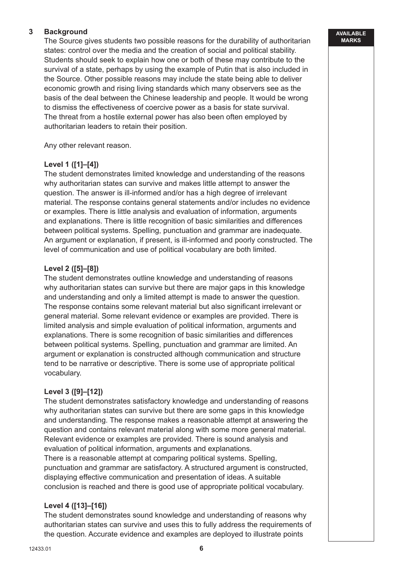## **3 Background**

The Source gives students two possible reasons for the durability of authoritarian states: control over the media and the creation of social and political stability. Students should seek to explain how one or both of these may contribute to the survival of a state, perhaps by using the example of Putin that is also included in the Source. Other possible reasons may include the state being able to deliver economic growth and rising living standards which many observers see as the basis of the deal between the Chinese leadership and people. It would be wrong to dismiss the effectiveness of coercive power as a basis for state survival. The threat from a hostile external power has also been often employed by authoritarian leaders to retain their position.

Any other relevant reason.

## **Level 1 ([1]–[4])**

The student demonstrates limited knowledge and understanding of the reasons why authoritarian states can survive and makes little attempt to answer the question. The answer is ill-informed and/or has a high degree of irrelevant material. The response contains general statements and/or includes no evidence or examples. There is little analysis and evaluation of information, arguments and explanations. There is little recognition of basic similarities and differences between political systems. Spelling, punctuation and grammar are inadequate. An argument or explanation, if present, is ill-informed and poorly constructed. The level of communication and use of political vocabulary are both limited.

## **Level 2 ([5]–[8])**

The student demonstrates outline knowledge and understanding of reasons why authoritarian states can survive but there are major gaps in this knowledge and understanding and only a limited attempt is made to answer the question. The response contains some relevant material but also significant irrelevant or general material. Some relevant evidence or examples are provided. There is limited analysis and simple evaluation of political information, arguments and explanations. There is some recognition of basic similarities and differences between political systems. Spelling, punctuation and grammar are limited. An argument or explanation is constructed although communication and structure tend to be narrative or descriptive. There is some use of appropriate political vocabulary.

#### **Level 3 ([9]–[12])**

The student demonstrates satisfactory knowledge and understanding of reasons why authoritarian states can survive but there are some gaps in this knowledge and understanding. The response makes a reasonable attempt at answering the question and contains relevant material along with some more general material. Relevant evidence or examples are provided. There is sound analysis and evaluation of political information, arguments and explanations.

There is a reasonable attempt at comparing political systems. Spelling, punctuation and grammar are satisfactory. A structured argument is constructed, displaying effective communication and presentation of ideas. A suitable conclusion is reached and there is good use of appropriate political vocabulary.

#### **Level 4 ([13]–[16])**

The student demonstrates sound knowledge and understanding of reasons why authoritarian states can survive and uses this to fully address the requirements of the question. Accurate evidence and examples are deployed to illustrate points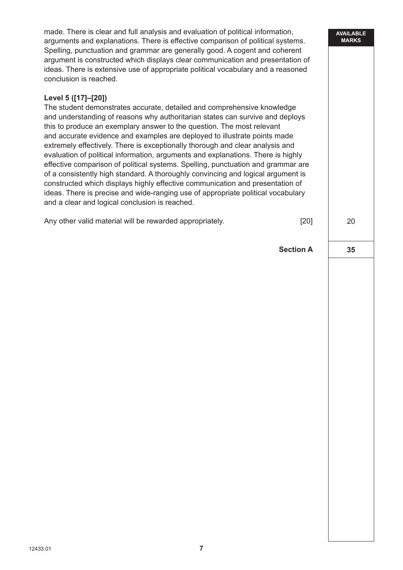made. There is clear and full analysis and evaluation of political information, arguments and explanations. There is effective comparison of political systems. Spelling, punctuation and grammar are generally good. A cogent and coherent argument is constructed which displays clear communication and presentation of ideas. There is extensive use of appropriate political vocabulary and a reasoned conclusion is reached.

## **Level 5 ([17]–[20])**

The student demonstrates accurate, detailed and comprehensive knowledge and understanding of reasons why authoritarian states can survive and deploys this to produce an exemplary answer to the question. The most relevant and accurate evidence and examples are deployed to illustrate points made extremely effectively. There is exceptionally thorough and clear analysis and evaluation of political information, arguments and explanations. There is highly effective comparison of political systems. Spelling, punctuation and grammar are of a consistently high standard. A thoroughly convincing and logical argument is constructed which displays highly effective communication and presentation of ideas. There is precise and wide-ranging use of appropriate political vocabulary and a clear and logical conclusion is reached.

Any other valid material will be rewarded appropriately. [20]

**Section A**

**35**

20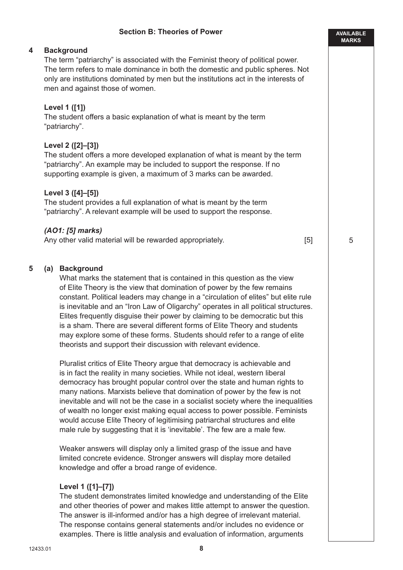#### **Section B: Theories of Power**

#### **4 Background**

The term "patriarchy" is associated with the Feminist theory of political power. The term refers to male dominance in both the domestic and public spheres. Not only are institutions dominated by men but the institutions act in the interests of men and against those of women.

#### **Level 1 ([1])**

The student offers a basic explanation of what is meant by the term "patriarchy".

#### **Level 2 ([2]–[3])**

The student offers a more developed explanation of what is meant by the term "patriarchy". An example may be included to support the response. If no supporting example is given, a maximum of 3 marks can be awarded.

#### **Level 3 ([4]–[5])**

The student provides a full explanation of what is meant by the term "patriarchy". A relevant example will be used to support the response.

#### *(AO1: [5] marks)*

Any other valid material will be rewarded appropriately. [5]

#### **5 (a) Background**

What marks the statement that is contained in this question as the view of Elite Theory is the view that domination of power by the few remains constant. Political leaders may change in a "circulation of elites" but elite rule is inevitable and an "Iron Law of Oligarchy" operates in all political structures. Elites frequently disguise their power by claiming to be democratic but this is a sham. There are several different forms of Elite Theory and students may explore some of these forms. Students should refer to a range of elite theorists and support their discussion with relevant evidence.

Pluralist critics of Elite Theory argue that democracy is achievable and is in fact the reality in many societies. While not ideal, western liberal democracy has brought popular control over the state and human rights to many nations. Marxists believe that domination of power by the few is not inevitable and will not be the case in a socialist society where the inequalities of wealth no longer exist making equal access to power possible. Feminists would accuse Elite Theory of legitimising patriarchal structures and elite male rule by suggesting that it is 'inevitable'. The few are a male few.

Weaker answers will display only a limited grasp of the issue and have limited concrete evidence. Stronger answers will display more detailed knowledge and offer a broad range of evidence.

#### **Level 1 ([1]–[7])**

The student demonstrates limited knowledge and understanding of the Elite and other theories of power and makes little attempt to answer the question. The answer is ill-informed and/or has a high degree of irrelevant material. The response contains general statements and/or includes no evidence or examples. There is little analysis and evaluation of information, arguments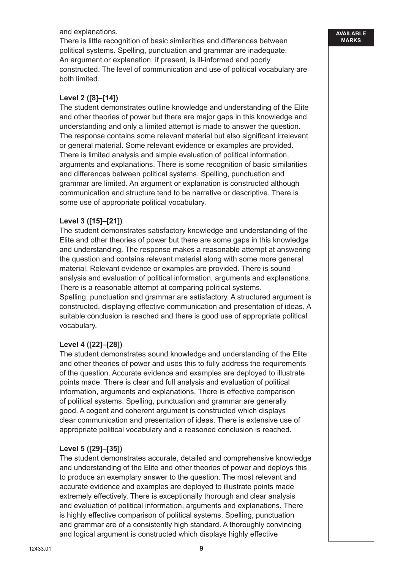and explanations.

There is little recognition of basic similarities and differences between political systems. Spelling, punctuation and grammar are inadequate. An argument or explanation, if present, is ill-informed and poorly constructed. The level of communication and use of political vocabulary are both limited.

## **Level 2 ([8]–[14])**

The student demonstrates outline knowledge and understanding of the Elite and other theories of power but there are major gaps in this knowledge and understanding and only a limited attempt is made to answer the question. The response contains some relevant material but also significant irrelevant or general material. Some relevant evidence or examples are provided. There is limited analysis and simple evaluation of political information, arguments and explanations. There is some recognition of basic similarities and differences between political systems. Spelling, punctuation and grammar are limited. An argument or explanation is constructed although communication and structure tend to be narrative or descriptive. There is some use of appropriate political vocabulary.

## **Level 3 ([15]–[21])**

The student demonstrates satisfactory knowledge and understanding of the Elite and other theories of power but there are some gaps in this knowledge and understanding. The response makes a reasonable attempt at answering the question and contains relevant material along with some more general material. Relevant evidence or examples are provided. There is sound analysis and evaluation of political information, arguments and explanations. There is a reasonable attempt at comparing political systems. Spelling, punctuation and grammar are satisfactory. A structured argument is constructed, displaying effective communication and presentation of ideas. A suitable conclusion is reached and there is good use of appropriate political vocabulary.

#### **Level 4 ([22]–[28])**

The student demonstrates sound knowledge and understanding of the Elite and other theories of power and uses this to fully address the requirements of the question. Accurate evidence and examples are deployed to illustrate points made. There is clear and full analysis and evaluation of political information, arguments and explanations. There is effective comparison of political systems. Spelling, punctuation and grammar are generally good. A cogent and coherent argument is constructed which displays clear communication and presentation of ideas. There is extensive use of appropriate political vocabulary and a reasoned conclusion is reached.

#### **Level 5 ([29]–[35])**

The student demonstrates accurate, detailed and comprehensive knowledge and understanding of the Elite and other theories of power and deploys this to produce an exemplary answer to the question. The most relevant and accurate evidence and examples are deployed to illustrate points made extremely effectively. There is exceptionally thorough and clear analysis and evaluation of political information, arguments and explanations. There is highly effective comparison of political systems. Spelling, punctuation and grammar are of a consistently high standard. A thoroughly convincing and logical argument is constructed which displays highly effective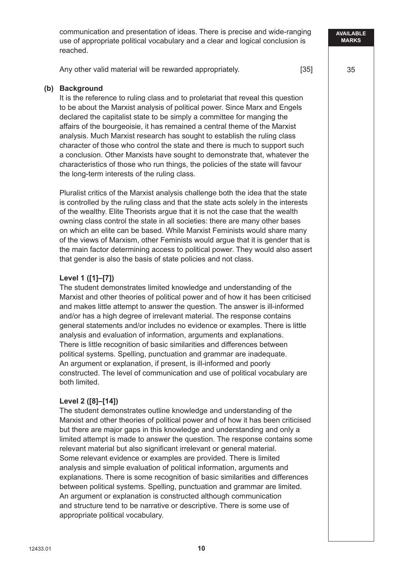communication and presentation of ideas. There is precise and wide-ranging use of appropriate political vocabulary and a clear and logical conclusion is reached.

Any other valid material will be rewarded appropriately. [35]

#### **(b) Background**

It is the reference to ruling class and to proletariat that reveal this question to be about the Marxist analysis of political power. Since Marx and Engels declared the capitalist state to be simply a committee for manging the affairs of the bourgeoisie, it has remained a central theme of the Marxist analysis. Much Marxist research has sought to establish the ruling class character of those who control the state and there is much to support such a conclusion. Other Marxists have sought to demonstrate that, whatever the characteristics of those who run things, the policies of the state will favour the long-term interests of the ruling class.

Pluralist critics of the Marxist analysis challenge both the idea that the state is controlled by the ruling class and that the state acts solely in the interests of the wealthy. Elite Theorists argue that it is not the case that the wealth owning class control the state in all societies: there are many other bases on which an elite can be based. While Marxist Feminists would share many of the views of Marxism, other Feminists would argue that it is gender that is the main factor determining access to political power. They would also assert that gender is also the basis of state policies and not class.

## **Level 1 ([1]–[7])**

The student demonstrates limited knowledge and understanding of the Marxist and other theories of political power and of how it has been criticised and makes little attempt to answer the question. The answer is ill-informed and/or has a high degree of irrelevant material. The response contains general statements and/or includes no evidence or examples. There is little analysis and evaluation of information, arguments and explanations. There is little recognition of basic similarities and differences between political systems. Spelling, punctuation and grammar are inadequate. An argument or explanation, if present, is ill-informed and poorly constructed. The level of communication and use of political vocabulary are both limited.

#### **Level 2 ([8]–[14])**

The student demonstrates outline knowledge and understanding of the Marxist and other theories of political power and of how it has been criticised but there are major gaps in this knowledge and understanding and only a limited attempt is made to answer the question. The response contains some relevant material but also significant irrelevant or general material. Some relevant evidence or examples are provided. There is limited analysis and simple evaluation of political information, arguments and explanations. There is some recognition of basic similarities and differences between political systems. Spelling, punctuation and grammar are limited. An argument or explanation is constructed although communication and structure tend to be narrative or descriptive. There is some use of appropriate political vocabulary.

**AVAILABLE MARKS**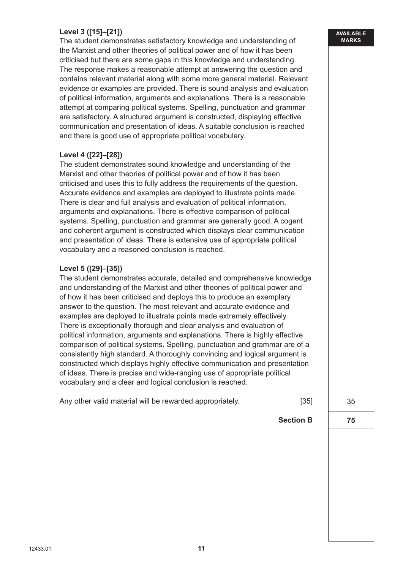# **Level 3 ([15]–[21])**

The student demonstrates satisfactory knowledge and understanding of the Marxist and other theories of political power and of how it has been criticised but there are some gaps in this knowledge and understanding. The response makes a reasonable attempt at answering the question and contains relevant material along with some more general material. Relevant evidence or examples are provided. There is sound analysis and evaluation of political information, arguments and explanations. There is a reasonable attempt at comparing political systems. Spelling, punctuation and grammar are satisfactory. A structured argument is constructed, displaying effective communication and presentation of ideas. A suitable conclusion is reached and there is good use of appropriate political vocabulary.

## **Level 4 ([22]–[28])**

The student demonstrates sound knowledge and understanding of the Marxist and other theories of political power and of how it has been criticised and uses this to fully address the requirements of the question. Accurate evidence and examples are deployed to illustrate points made. There is clear and full analysis and evaluation of political information, arguments and explanations. There is effective comparison of political systems. Spelling, punctuation and grammar are generally good. A cogent and coherent argument is constructed which displays clear communication and presentation of ideas. There is extensive use of appropriate political vocabulary and a reasoned conclusion is reached.

## **Level 5 ([29]–[35])**

The student demonstrates accurate, detailed and comprehensive knowledge and understanding of the Marxist and other theories of political power and of how it has been criticised and deploys this to produce an exemplary answer to the question. The most relevant and accurate evidence and examples are deployed to illustrate points made extremely effectively. There is exceptionally thorough and clear analysis and evaluation of political information, arguments and explanations. There is highly effective comparison of political systems. Spelling, punctuation and grammar are of a consistently high standard. A thoroughly convincing and logical argument is constructed which displays highly effective communication and presentation of ideas. There is precise and wide-ranging use of appropriate political vocabulary and a clear and logical conclusion is reached.

| Any other valid material will be rewarded appropriately. | [35] |
|----------------------------------------------------------|------|
|----------------------------------------------------------|------|

35

**75**

**Section B**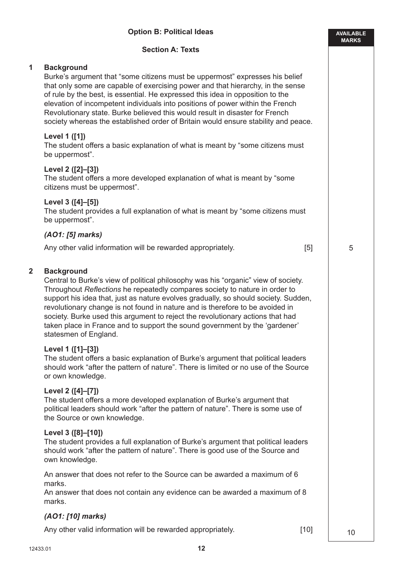|                         | <b>Section A: Texts</b>                                                                                                                                                                                                                                                                                                                                                                                                                                                                                                                                  |    |
|-------------------------|----------------------------------------------------------------------------------------------------------------------------------------------------------------------------------------------------------------------------------------------------------------------------------------------------------------------------------------------------------------------------------------------------------------------------------------------------------------------------------------------------------------------------------------------------------|----|
| 1                       | <b>Background</b><br>Burke's argument that "some citizens must be uppermost" expresses his belief<br>that only some are capable of exercising power and that hierarchy, in the sense<br>of rule by the best, is essential. He expressed this idea in opposition to the<br>elevation of incompetent individuals into positions of power within the French<br>Revolutionary state. Burke believed this would result in disaster for French<br>society whereas the established order of Britain would ensure stability and peace.                           |    |
|                         | Level 1 ([1])<br>The student offers a basic explanation of what is meant by "some citizens must<br>be uppermost".                                                                                                                                                                                                                                                                                                                                                                                                                                        |    |
|                         | Level 2 ([2]-[3])<br>The student offers a more developed explanation of what is meant by "some"<br>citizens must be uppermost".                                                                                                                                                                                                                                                                                                                                                                                                                          |    |
|                         | Level 3 ([4]-[5])<br>The student provides a full explanation of what is meant by "some citizens must<br>be uppermost".                                                                                                                                                                                                                                                                                                                                                                                                                                   |    |
|                         | (AO1: [5] marks)                                                                                                                                                                                                                                                                                                                                                                                                                                                                                                                                         |    |
|                         | Any other valid information will be rewarded appropriately.<br>[5]                                                                                                                                                                                                                                                                                                                                                                                                                                                                                       | 5  |
| $\overline{\mathbf{2}}$ | <b>Background</b><br>Central to Burke's view of political philosophy was his "organic" view of society.<br>Throughout Reflections he repeatedly compares society to nature in order to<br>support his idea that, just as nature evolves gradually, so should society. Sudden,<br>revolutionary change is not found in nature and is therefore to be avoided in<br>society. Burke used this argument to reject the revolutionary actions that had<br>taken place in France and to support the sound government by the 'gardener'<br>statesmen of England. |    |
|                         | Level 1 ([1]-[3])<br>The student offers a basic explanation of Burke's argument that political leaders<br>should work "after the pattern of nature". There is limited or no use of the Source<br>or own knowledge.                                                                                                                                                                                                                                                                                                                                       |    |
|                         | Level 2 ([4]-[7])<br>The student offers a more developed explanation of Burke's argument that<br>political leaders should work "after the pattern of nature". There is some use of<br>the Source or own knowledge.                                                                                                                                                                                                                                                                                                                                       |    |
|                         | Level 3 ([8]-[10])<br>The student provides a full explanation of Burke's argument that political leaders<br>should work "after the pattern of nature". There is good use of the Source and<br>own knowledge.                                                                                                                                                                                                                                                                                                                                             |    |
|                         | An answer that does not refer to the Source can be awarded a maximum of 6<br>marks.<br>An answer that does not contain any evidence can be awarded a maximum of 8<br>marks.                                                                                                                                                                                                                                                                                                                                                                              |    |
|                         | (AO1: [10] marks)                                                                                                                                                                                                                                                                                                                                                                                                                                                                                                                                        |    |
|                         | Any other valid information will be rewarded appropriately.<br>$[10]$                                                                                                                                                                                                                                                                                                                                                                                                                                                                                    | 10 |

**Option B: Political Ideas**

10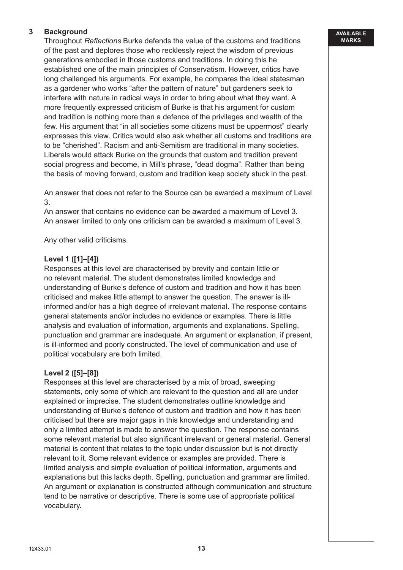# **3 Background**

Throughout *Reflections* Burke defends the value of the customs and traditions of the past and deplores those who recklessly reject the wisdom of previous generations embodied in those customs and traditions. In doing this he established one of the main principles of Conservatism. However, critics have long challenged his arguments. For example, he compares the ideal statesman as a gardener who works "after the pattern of nature" but gardeners seek to interfere with nature in radical ways in order to bring about what they want. A more frequently expressed criticism of Burke is that his argument for custom and tradition is nothing more than a defence of the privileges and wealth of the few. His argument that "in all societies some citizens must be uppermost" clearly expresses this view. Critics would also ask whether all customs and traditions are to be "cherished". Racism and anti-Semitism are traditional in many societies. Liberals would attack Burke on the grounds that custom and tradition prevent social progress and become, in Mill's phrase, "dead dogma". Rather than being the basis of moving forward, custom and tradition keep society stuck in the past.

An answer that does not refer to the Source can be awarded a maximum of Level 3.

An answer that contains no evidence can be awarded a maximum of Level 3. An answer limited to only one criticism can be awarded a maximum of Level 3.

Any other valid criticisms.

## **Level 1 ([1]–[4])**

Responses at this level are characterised by brevity and contain little or no relevant material. The student demonstrates limited knowledge and understanding of Burke's defence of custom and tradition and how it has been criticised and makes little attempt to answer the question. The answer is illinformed and/or has a high degree of irrelevant material. The response contains general statements and/or includes no evidence or examples. There is little analysis and evaluation of information, arguments and explanations. Spelling, punctuation and grammar are inadequate. An argument or explanation, if present, is ill-informed and poorly constructed. The level of communication and use of political vocabulary are both limited.

## **Level 2 ([5]–[8])**

Responses at this level are characterised by a mix of broad, sweeping statements, only some of which are relevant to the question and all are under explained or imprecise. The student demonstrates outline knowledge and understanding of Burke's defence of custom and tradition and how it has been criticised but there are major gaps in this knowledge and understanding and only a limited attempt is made to answer the question. The response contains some relevant material but also significant irrelevant or general material. General material is content that relates to the topic under discussion but is not directly relevant to it. Some relevant evidence or examples are provided. There is limited analysis and simple evaluation of political information, arguments and explanations but this lacks depth. Spelling, punctuation and grammar are limited. An argument or explanation is constructed although communication and structure tend to be narrative or descriptive. There is some use of appropriate political vocabulary.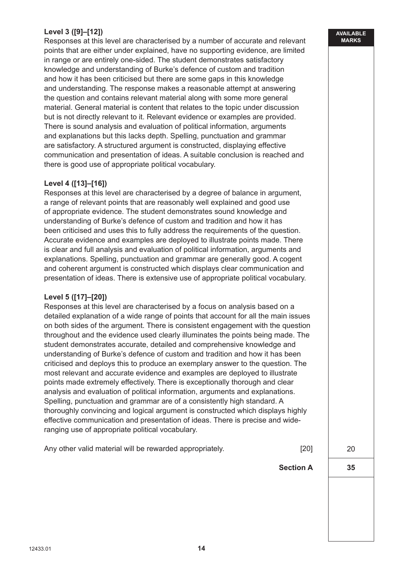# **Level 3 ([9]–[12])**

Responses at this level are characterised by a number of accurate and relevant points that are either under explained, have no supporting evidence, are limited in range or are entirely one-sided. The student demonstrates satisfactory knowledge and understanding of Burke's defence of custom and tradition and how it has been criticised but there are some gaps in this knowledge and understanding. The response makes a reasonable attempt at answering the question and contains relevant material along with some more general material. General material is content that relates to the topic under discussion but is not directly relevant to it. Relevant evidence or examples are provided. There is sound analysis and evaluation of political information, arguments and explanations but this lacks depth. Spelling, punctuation and grammar are satisfactory. A structured argument is constructed, displaying effective communication and presentation of ideas. A suitable conclusion is reached and there is good use of appropriate political vocabulary.

#### **Level 4 ([13]–[16])**

Responses at this level are characterised by a degree of balance in argument, a range of relevant points that are reasonably well explained and good use of appropriate evidence. The student demonstrates sound knowledge and understanding of Burke's defence of custom and tradition and how it has been criticised and uses this to fully address the requirements of the question. Accurate evidence and examples are deployed to illustrate points made. There is clear and full analysis and evaluation of political information, arguments and explanations. Spelling, punctuation and grammar are generally good. A cogent and coherent argument is constructed which displays clear communication and presentation of ideas. There is extensive use of appropriate political vocabulary.

#### **Level 5 ([17]–[20])**

Responses at this level are characterised by a focus on analysis based on a detailed explanation of a wide range of points that account for all the main issues on both sides of the argument. There is consistent engagement with the question throughout and the evidence used clearly illuminates the points being made. The student demonstrates accurate, detailed and comprehensive knowledge and understanding of Burke's defence of custom and tradition and how it has been criticised and deploys this to produce an exemplary answer to the question. The most relevant and accurate evidence and examples are deployed to illustrate points made extremely effectively. There is exceptionally thorough and clear analysis and evaluation of political information, arguments and explanations. Spelling, punctuation and grammar are of a consistently high standard. A thoroughly convincing and logical argument is constructed which displays highly effective communication and presentation of ideas. There is precise and wideranging use of appropriate political vocabulary.

Any other valid material will be rewarded appropriately. [20]

20

**35**

**Section A**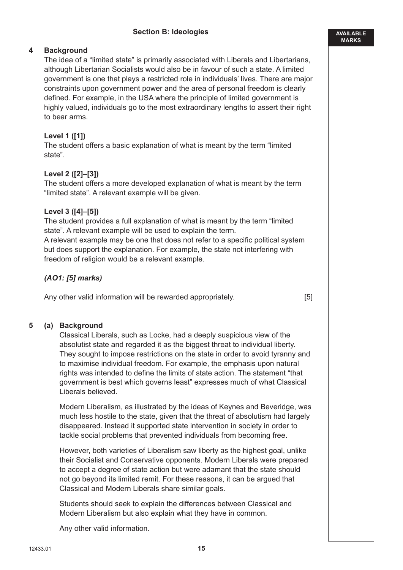**AVAILABLE MARKS**

## **4 Background**

The idea of a "limited state" is primarily associated with Liberals and Libertarians, although Libertarian Socialists would also be in favour of such a state. A limited government is one that plays a restricted role in individuals' lives. There are major constraints upon government power and the area of personal freedom is clearly defined. For example, in the USA where the principle of limited government is highly valued, individuals go to the most extraordinary lengths to assert their right to bear arms.

## **Level 1 ([1])**

The student offers a basic explanation of what is meant by the term "limited state".

## **Level 2 ([2]–[3])**

The student offers a more developed explanation of what is meant by the term "limited state". A relevant example will be given.

## **Level 3 ([4]–[5])**

The student provides a full explanation of what is meant by the term "limited state". A relevant example will be used to explain the term. A relevant example may be one that does not refer to a specific political system but does support the explanation. For example, the state not interfering with

*(AO1: [5] marks)*

Any other valid information will be rewarded appropriately. The same of the state of the state of the state of the state of the state of the state of the state of the state of the state of the state of the state of the sta

freedom of religion would be a relevant example.

## **5 (a) Background**

Classical Liberals, such as Locke, had a deeply suspicious view of the absolutist state and regarded it as the biggest threat to individual liberty. They sought to impose restrictions on the state in order to avoid tyranny and to maximise individual freedom. For example, the emphasis upon natural rights was intended to define the limits of state action. The statement "that government is best which governs least" expresses much of what Classical Liberals believed.

Modern Liberalism, as illustrated by the ideas of Keynes and Beveridge, was much less hostile to the state, given that the threat of absolutism had largely disappeared. Instead it supported state intervention in society in order to tackle social problems that prevented individuals from becoming free.

However, both varieties of Liberalism saw liberty as the highest goal, unlike their Socialist and Conservative opponents. Modern Liberals were prepared to accept a degree of state action but were adamant that the state should not go beyond its limited remit. For these reasons, it can be argued that Classical and Modern Liberals share similar goals.

Students should seek to explain the differences between Classical and Modern Liberalism but also explain what they have in common.

Any other valid information.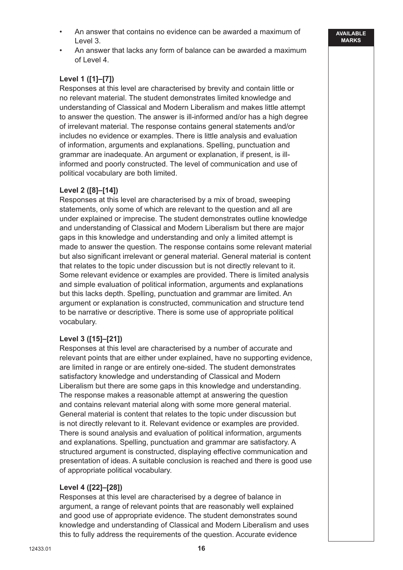- An answer that contains no evidence can be awarded a maximum of Level 3.
- An answer that lacks any form of balance can be awarded a maximum of Level 4.

# **Level 1 ([1]–[7])**

Responses at this level are characterised by brevity and contain little or no relevant material. The student demonstrates limited knowledge and understanding of Classical and Modern Liberalism and makes little attempt to answer the question. The answer is ill-informed and/or has a high degree of irrelevant material. The response contains general statements and/or includes no evidence or examples. There is little analysis and evaluation of information, arguments and explanations. Spelling, punctuation and grammar are inadequate. An argument or explanation, if present, is illinformed and poorly constructed. The level of communication and use of political vocabulary are both limited.

## **Level 2 ([8]–[14])**

Responses at this level are characterised by a mix of broad, sweeping statements, only some of which are relevant to the question and all are under explained or imprecise. The student demonstrates outline knowledge and understanding of Classical and Modern Liberalism but there are major gaps in this knowledge and understanding and only a limited attempt is made to answer the question. The response contains some relevant material but also significant irrelevant or general material. General material is content that relates to the topic under discussion but is not directly relevant to it. Some relevant evidence or examples are provided. There is limited analysis and simple evaluation of political information, arguments and explanations but this lacks depth. Spelling, punctuation and grammar are limited. An argument or explanation is constructed, communication and structure tend to be narrative or descriptive. There is some use of appropriate political vocabulary.

## **Level 3 ([15]–[21])**

Responses at this level are characterised by a number of accurate and relevant points that are either under explained, have no supporting evidence, are limited in range or are entirely one-sided. The student demonstrates satisfactory knowledge and understanding of Classical and Modern Liberalism but there are some gaps in this knowledge and understanding. The response makes a reasonable attempt at answering the question and contains relevant material along with some more general material. General material is content that relates to the topic under discussion but is not directly relevant to it. Relevant evidence or examples are provided. There is sound analysis and evaluation of political information, arguments and explanations. Spelling, punctuation and grammar are satisfactory. A structured argument is constructed, displaying effective communication and presentation of ideas. A suitable conclusion is reached and there is good use of appropriate political vocabulary.

## **Level 4 ([22]–[28])**

Responses at this level are characterised by a degree of balance in argument, a range of relevant points that are reasonably well explained and good use of appropriate evidence. The student demonstrates sound knowledge and understanding of Classical and Modern Liberalism and uses this to fully address the requirements of the question. Accurate evidence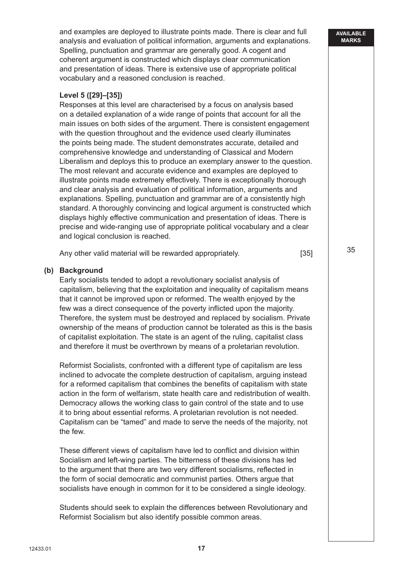and examples are deployed to illustrate points made. There is clear and full analysis and evaluation of political information, arguments and explanations. Spelling, punctuation and grammar are generally good. A cogent and coherent argument is constructed which displays clear communication and presentation of ideas. There is extensive use of appropriate political vocabulary and a reasoned conclusion is reached.

## **Level 5 ([29]–[35])**

Responses at this level are characterised by a focus on analysis based on a detailed explanation of a wide range of points that account for all the main issues on both sides of the argument. There is consistent engagement with the question throughout and the evidence used clearly illuminates the points being made. The student demonstrates accurate, detailed and comprehensive knowledge and understanding of Classical and Modern Liberalism and deploys this to produce an exemplary answer to the question. The most relevant and accurate evidence and examples are deployed to illustrate points made extremely effectively. There is exceptionally thorough and clear analysis and evaluation of political information, arguments and explanations. Spelling, punctuation and grammar are of a consistently high standard. A thoroughly convincing and logical argument is constructed which displays highly effective communication and presentation of ideas. There is precise and wide-ranging use of appropriate political vocabulary and a clear and logical conclusion is reached.

Any other valid material will be rewarded appropriately. [35]

#### **(b) Background**

Early socialists tended to adopt a revolutionary socialist analysis of capitalism, believing that the exploitation and inequality of capitalism means that it cannot be improved upon or reformed. The wealth enjoyed by the few was a direct consequence of the poverty inflicted upon the majority. Therefore, the system must be destroyed and replaced by socialism. Private ownership of the means of production cannot be tolerated as this is the basis of capitalist exploitation. The state is an agent of the ruling, capitalist class and therefore it must be overthrown by means of a proletarian revolution.

Reformist Socialists, confronted with a different type of capitalism are less inclined to advocate the complete destruction of capitalism, arguing instead for a reformed capitalism that combines the benefits of capitalism with state action in the form of welfarism, state health care and redistribution of wealth. Democracy allows the working class to gain control of the state and to use it to bring about essential reforms. A proletarian revolution is not needed. Capitalism can be "tamed" and made to serve the needs of the majority, not the few.

These different views of capitalism have led to conflict and division within Socialism and left-wing parties. The bitterness of these divisions has led to the argument that there are two very different socialisms, reflected in the form of social democratic and communist parties. Others argue that socialists have enough in common for it to be considered a single ideology.

Students should seek to explain the differences between Revolutionary and Reformist Socialism but also identify possible common areas.

#### **AVAILABLE MARKS**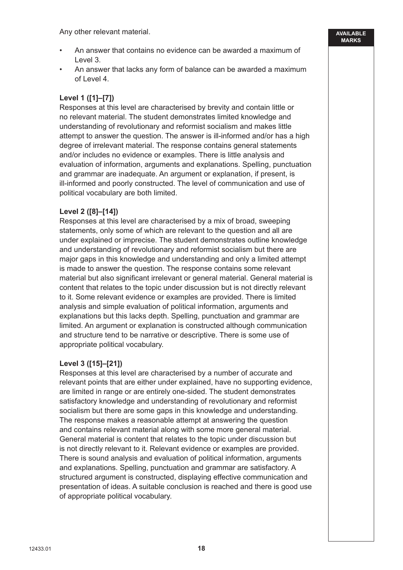Any other relevant material.

• An answer that contains no evidence can be awarded a maximum of Level 3.

**AVAILABLE MARKS**

• An answer that lacks any form of balance can be awarded a maximum of Level 4.

## **Level 1 ([1]–[7])**

Responses at this level are characterised by brevity and contain little or no relevant material. The student demonstrates limited knowledge and understanding of revolutionary and reformist socialism and makes little attempt to answer the question. The answer is ill-informed and/or has a high degree of irrelevant material. The response contains general statements and/or includes no evidence or examples. There is little analysis and evaluation of information, arguments and explanations. Spelling, punctuation and grammar are inadequate. An argument or explanation, if present, is ill-informed and poorly constructed. The level of communication and use of political vocabulary are both limited.

## **Level 2 ([8]–[14])**

Responses at this level are characterised by a mix of broad, sweeping statements, only some of which are relevant to the question and all are under explained or imprecise. The student demonstrates outline knowledge and understanding of revolutionary and reformist socialism but there are major gaps in this knowledge and understanding and only a limited attempt is made to answer the question. The response contains some relevant material but also significant irrelevant or general material. General material is content that relates to the topic under discussion but is not directly relevant to it. Some relevant evidence or examples are provided. There is limited analysis and simple evaluation of political information, arguments and explanations but this lacks depth. Spelling, punctuation and grammar are limited. An argument or explanation is constructed although communication and structure tend to be narrative or descriptive. There is some use of appropriate political vocabulary.

#### **Level 3 ([15]–[21])**

Responses at this level are characterised by a number of accurate and relevant points that are either under explained, have no supporting evidence, are limited in range or are entirely one-sided. The student demonstrates satisfactory knowledge and understanding of revolutionary and reformist socialism but there are some gaps in this knowledge and understanding. The response makes a reasonable attempt at answering the question and contains relevant material along with some more general material. General material is content that relates to the topic under discussion but is not directly relevant to it. Relevant evidence or examples are provided. There is sound analysis and evaluation of political information, arguments and explanations. Spelling, punctuation and grammar are satisfactory. A structured argument is constructed, displaying effective communication and presentation of ideas. A suitable conclusion is reached and there is good use of appropriate political vocabulary.